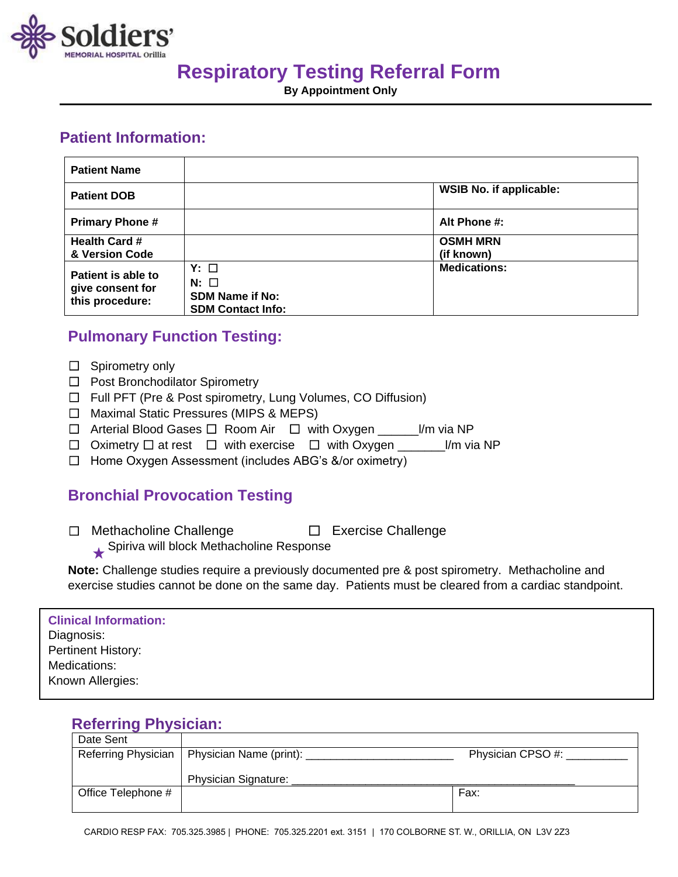

# **Respiratory Testing Referral Form**

**By Appointment Only**

## **Patient Information:**

| <b>Patient Name</b>                                       |                                                                                |                                |
|-----------------------------------------------------------|--------------------------------------------------------------------------------|--------------------------------|
| <b>Patient DOB</b>                                        |                                                                                | <b>WSIB No. if applicable:</b> |
| <b>Primary Phone#</b>                                     |                                                                                | Alt Phone #:                   |
| <b>Health Card #</b><br>& Version Code                    |                                                                                | <b>OSMH MRN</b><br>(if known)  |
| Patient is able to<br>give consent for<br>this procedure: | $Y: \Box$<br>$N:$ $\Box$<br><b>SDM Name if No:</b><br><b>SDM Contact Info:</b> | <b>Medications:</b>            |

## **Pulmonary Function Testing:**

- □ Spirometry only
- ☐ Post Bronchodilator Spirometry
- ☐ Full PFT (Pre & Post spirometry, Lung Volumes, CO Diffusion)
- ☐ Maximal Static Pressures (MIPS & MEPS)
- ☐ Arterial Blood Gases ☐ Room Air ☐ with Oxygen \_\_\_\_\_\_l/m via NP
- ☐ Oximetry ☐ at rest ☐ with exercise ☐ with Oxygen \_\_\_\_\_\_\_l/m via NP
- ☐ Home Oxygen Assessment (includes ABG's &/or oximetry)

## **Bronchial Provocation Testing**

☐ Methacholine Challenge ☐ Exercise Challenge

Spiriva will block Methacholine Response

**Note:** Challenge studies require a previously documented pre & post spirometry. Methacholine and exercise studies cannot be done on the same day. Patients must be cleared from a cardiac standpoint.

### **Clinical Information:** Diagnosis: Pertinent History: Medications: Known Allergies:

## **Referring Physician:**

| Date Sent           |                         |                  |
|---------------------|-------------------------|------------------|
| Referring Physician | Physician Name (print): | Physician CPSO#: |
|                     |                         |                  |
|                     | Physician Signature:    |                  |
| Office Telephone #  |                         | Fax:             |
|                     |                         |                  |